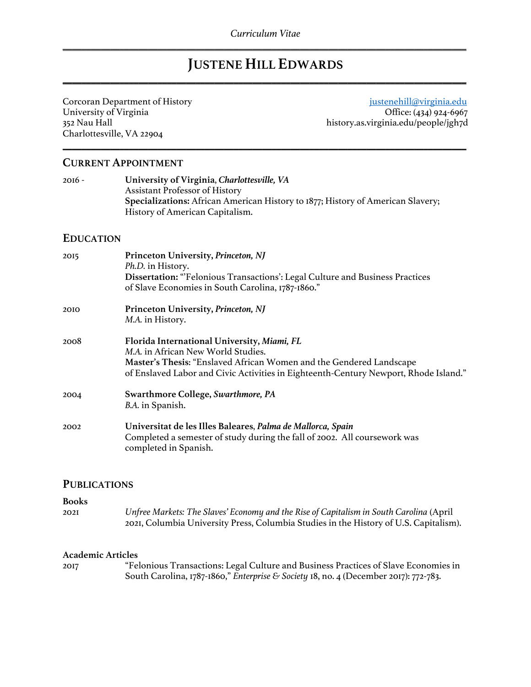# **JUSTENE HILL EDWARDS** \_\_\_\_\_\_\_\_\_\_\_\_\_\_\_\_\_\_\_\_\_\_\_\_\_\_\_\_\_\_\_\_\_\_\_\_\_\_\_\_\_\_\_\_\_\_\_\_\_\_\_\_\_\_\_\_\_\_\_\_\_\_\_\_\_\_\_\_\_\_\_\_\_\_\_\_\_\_\_\_\_\_\_\_\_

\_\_\_\_\_\_\_\_\_\_\_\_\_\_\_\_\_\_\_\_\_\_\_\_\_\_\_\_\_\_\_\_\_\_\_\_\_\_\_\_\_\_\_\_\_\_\_\_\_\_\_\_\_\_\_\_\_\_\_\_\_\_\_\_\_\_\_\_\_\_\_\_\_\_\_\_\_\_\_\_\_\_\_\_\_

Charlottesville, VA 22904

Corcoran Department of History is a series of the series of the series of the series of the series of the series of the series of the series of the series of the series of the series of the series of the series of the seri University of Virginia Office: (434) 924-6967<br>
352 Nau Hall Marshall Deputy as virginia.edu/people/jgh7d history.as.virginia.edu/people/jgh7d

## **CURRENT APPOINTMENT**

2016 - **University of Virginia**, *Charlottesville, VA* Assistant Professor of History **Specializations:** African American History to 1877; History of American Slavery; History of American Capitalism.

## **EDUCATION**

| 2015 | Princeton University, Princeton, NJ<br>Ph.D. in History.                                                                                                                                                                                                |
|------|---------------------------------------------------------------------------------------------------------------------------------------------------------------------------------------------------------------------------------------------------------|
|      | Dissertation: "Felonious Transactions': Legal Culture and Business Practices<br>of Slave Economies in South Carolina, 1787-1860."                                                                                                                       |
| 2010 | Princeton University, Princeton, NJ<br>M.A. in History.                                                                                                                                                                                                 |
| 2008 | Florida International University, Miami, FL<br><i>M.A.</i> in African New World Studies.<br>Master's Thesis: "Enslaved African Women and the Gendered Landscape<br>of Enslaved Labor and Civic Activities in Eighteenth-Century Newport, Rhode Island." |
| 2004 | Swarthmore College, Swarthmore, PA<br>B.A. in Spanish.                                                                                                                                                                                                  |
| 2002 | Universitat de les Illes Baleares, Palma de Mallorca, Spain<br>Completed a semester of study during the fall of 2002. All coursework was<br>completed in Spanish.                                                                                       |

## **PUBLICATIONS**

## **Books**

2021 *Unfree Markets: The Slaves' Economy and the Rise of Capitalism in South Carolina* (April 2021, Columbia University Press, Columbia Studies in the History of U.S. Capitalism).

## **Academic Articles**

| 2017 | "Felonious Transactions: Legal Culture and Business Practices of Slave Economies in  |
|------|--------------------------------------------------------------------------------------|
|      | South Carolina, 1787-1860," Enterprise & Society 18, no. 4 (December 2017): 772-783. |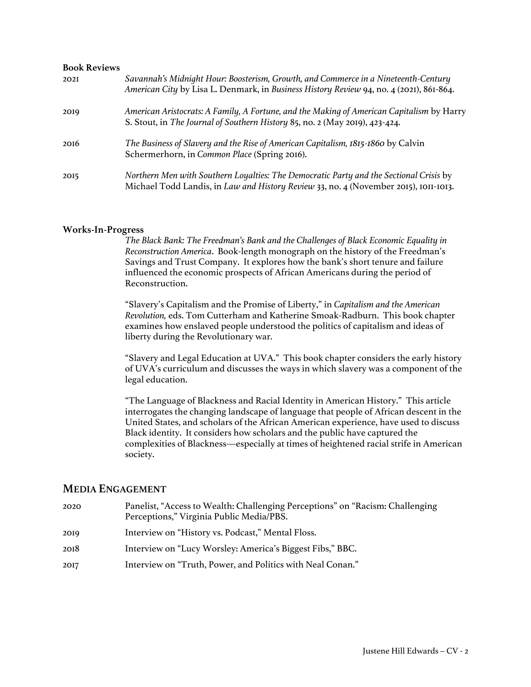## **Book Reviews**

| 202I | Savannah's Midnight Hour: Boosterism, Growth, and Commerce in a Nineteenth-Century<br>American City by Lisa L. Denmark, in Business History Review 94, no. 4 (2021), 861-864.  |
|------|--------------------------------------------------------------------------------------------------------------------------------------------------------------------------------|
| 2019 | American Aristocrats: A Family, A Fortune, and the Making of American Capitalism by Harry<br>S. Stout, in The Journal of Southern History 85, no. 2 (May 2019), 423-424.       |
| 2016 | The Business of Slavery and the Rise of American Capitalism, 1815-1860 by Calvin<br>Schermerhorn, in Common Place (Spring 2016).                                               |
| 2015 | Northern Men with Southern Loyalties: The Democratic Party and the Sectional Crisis by<br>Michael Todd Landis, in Law and History Review 33, no. 4 (November 2015), 1011-1013. |

#### **Works-In-Progress**

*The Black Bank: The Freedman's Bank and the Challenges of Black Economic Equality in Reconstruction America*. Book-length monograph on the history of the Freedman's Savings and Trust Company. It explores how the bank's short tenure and failure influenced the economic prospects of African Americans during the period of Reconstruction.

"Slavery's Capitalism and the Promise of Liberty," in *Capitalism and the American Revolution,* eds. Tom Cutterham and Katherine Smoak-Radburn. This book chapter examines how enslaved people understood the politics of capitalism and ideas of liberty during the Revolutionary war.

"Slavery and Legal Education at UVA." This book chapter considers the early history of UVA's curriculum and discusses the ways in which slavery was a component of the legal education.

"The Language of Blackness and Racial Identity in American History." This article interrogates the changing landscape of language that people of African descent in the United States, and scholars of the African American experience, have used to discuss Black identity. It considers how scholars and the public have captured the complexities of Blackness—especially at times of heightened racial strife in American society.

## **MEDIA ENGAGEMENT**

- 2020 Panelist, "Access to Wealth: Challenging Perceptions" on "Racism: Challenging Perceptions," Virginia Public Media/PBS. 2019 Interview on "History vs. Podcast," Mental Floss. 2018 Interview on "Lucy Worsley: America's Biggest Fibs," BBC.
- 2017 Interview on "Truth, Power, and Politics with Neal Conan."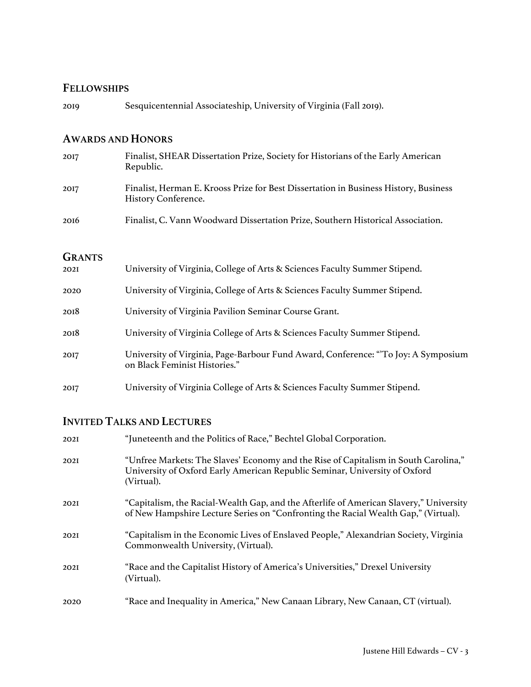## **FELLOWSHIPS**

2019 Sesquicentennial Associateship, University of Virginia (Fall 2019).

## **AWARDS AND HONORS**

| 2017                  | Finalist, SHEAR Dissertation Prize, Society for Historians of the Early American<br>Republic.               |
|-----------------------|-------------------------------------------------------------------------------------------------------------|
| 2017                  | Finalist, Herman E. Krooss Prize for Best Dissertation in Business History, Business<br>History Conference. |
| 2016                  | Finalist, C. Vann Woodward Dissertation Prize, Southern Historical Association.                             |
| <b>GRANTS</b><br>202I | University of Virginia, College of Arts & Sciences Faculty Summer Stipend.                                  |
| 2020                  | University of Virginia, College of Arts & Sciences Faculty Summer Stipend.                                  |
| 2018                  | University of Virginia Pavilion Seminar Course Grant.                                                       |
| 2018                  | University of Virginia College of Arts & Sciences Faculty Summer Stipend.                                   |

- 2017 University of Virginia, Page-Barbour Fund Award, Conference: "'To Joy: A Symposium on Black Feminist Histories."
- 2017 University of Virginia College of Arts & Sciences Faculty Summer Stipend.

# **INVITED TALKS AND LECTURES**

| 202I | "Juneteenth and the Politics of Race," Bechtel Global Corporation.                                                                                                              |
|------|---------------------------------------------------------------------------------------------------------------------------------------------------------------------------------|
| 202I | "Unfree Markets: The Slaves' Economy and the Rise of Capitalism in South Carolina,"<br>University of Oxford Early American Republic Seminar, University of Oxford<br>(Virtual). |
| 202I | "Capitalism, the Racial-Wealth Gap, and the Afterlife of American Slavery," University<br>of New Hampshire Lecture Series on "Confronting the Racial Wealth Gap," (Virtual).    |
| 202I | "Capitalism in the Economic Lives of Enslaved People," Alexandrian Society, Virginia<br>Commonwealth University, (Virtual).                                                     |
| 202I | "Race and the Capitalist History of America's Universities," Drexel University<br>(Virtual).                                                                                    |
| 2020 | "Race and Inequality in America," New Canaan Library, New Canaan, CT (virtual).                                                                                                 |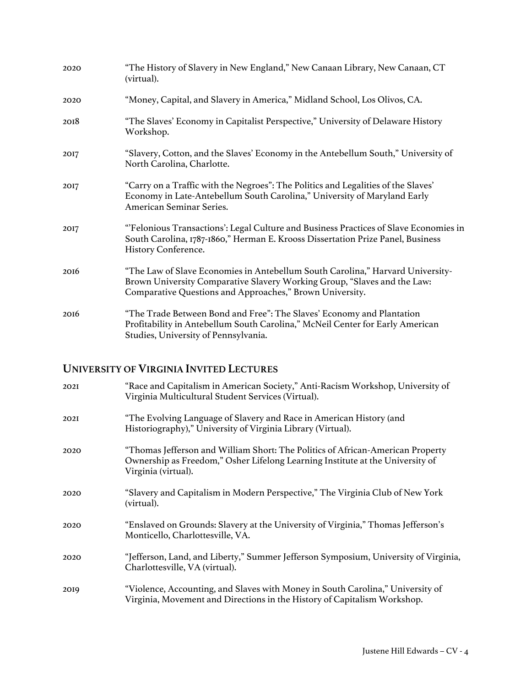| 2020 | "The History of Slavery in New England," New Canaan Library, New Canaan, CT<br>(virtual).                                                                                                                              |
|------|------------------------------------------------------------------------------------------------------------------------------------------------------------------------------------------------------------------------|
| 2020 | "Money, Capital, and Slavery in America," Midland School, Los Olivos, CA.                                                                                                                                              |
| 2018 | "The Slaves' Economy in Capitalist Perspective," University of Delaware History<br>Workshop.                                                                                                                           |
| 2017 | "Slavery, Cotton, and the Slaves' Economy in the Antebellum South," University of<br>North Carolina, Charlotte.                                                                                                        |
| 2017 | "Carry on a Traffic with the Negroes": The Politics and Legalities of the Slaves"<br>Economy in Late-Antebellum South Carolina," University of Maryland Early<br>American Seminar Series.                              |
| 2017 | "Felonious Transactions': Legal Culture and Business Practices of Slave Economies in<br>South Carolina, 1787-1860," Herman E. Krooss Dissertation Prize Panel, Business<br>History Conference.                         |
| 2016 | "The Law of Slave Economies in Antebellum South Carolina," Harvard University-<br>Brown University Comparative Slavery Working Group, "Slaves and the Law:<br>Comparative Questions and Approaches," Brown University. |
| 2016 | "The Trade Between Bond and Free": The Slaves' Economy and Plantation<br>Profitability in Antebellum South Carolina," McNeil Center for Early American<br>Studies, University of Pennsylvania.                         |

# **UNIVERSITY OF VIRGINIA INVITED LECTURES**

| 202I | "Race and Capitalism in American Society," Anti-Racism Workshop, University of<br>Virginia Multicultural Student Services (Virtual).                                                   |
|------|----------------------------------------------------------------------------------------------------------------------------------------------------------------------------------------|
| 202I | "The Evolving Language of Slavery and Race in American History (and<br>Historiography)," University of Virginia Library (Virtual).                                                     |
| 2020 | "Thomas Jefferson and William Short: The Politics of African-American Property<br>Ownership as Freedom," Osher Lifelong Learning Institute at the University of<br>Virginia (virtual). |
| 2020 | "Slavery and Capitalism in Modern Perspective," The Virginia Club of New York<br>(virtual).                                                                                            |
| 2020 | "Enslaved on Grounds: Slavery at the University of Virginia," Thomas Jefferson's<br>Monticello, Charlottesville, VA.                                                                   |
| 2020 | "Jefferson, Land, and Liberty," Summer Jefferson Symposium, University of Virginia,<br>Charlottesville, VA (virtual).                                                                  |
| 2019 | "Violence, Accounting, and Slaves with Money in South Carolina," University of<br>Virginia, Movement and Directions in the History of Capitalism Workshop.                             |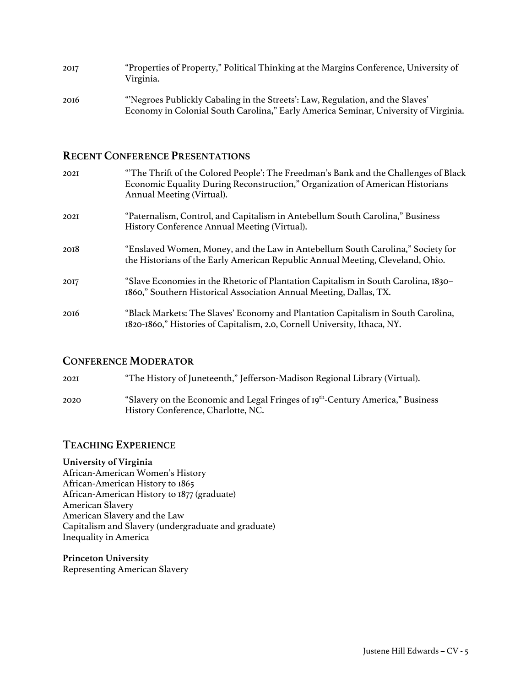| 2017 | "Properties of Property," Political Thinking at the Margins Conference, University of<br>Virginia.                                                                   |
|------|----------------------------------------------------------------------------------------------------------------------------------------------------------------------|
| 2016 | "Negroes Publickly Cabaling in the Streets': Law, Regulation, and the Slaves'<br>Economy in Colonial South Carolina," Early America Seminar, University of Virginia. |

# **RECENT CONFERENCE PRESENTATIONS**

| 202I | "The Thrift of the Colored People': The Freedman's Bank and the Challenges of Black<br>Economic Equality During Reconstruction," Organization of American Historians<br>Annual Meeting (Virtual). |
|------|---------------------------------------------------------------------------------------------------------------------------------------------------------------------------------------------------|
| 202I | "Paternalism, Control, and Capitalism in Antebellum South Carolina," Business<br>History Conference Annual Meeting (Virtual).                                                                     |
| 2018 | "Enslaved Women, Money, and the Law in Antebellum South Carolina," Society for<br>the Historians of the Early American Republic Annual Meeting, Cleveland, Ohio.                                  |
| 2017 | "Slave Economies in the Rhetoric of Plantation Capitalism in South Carolina, 1830–<br>1860," Southern Historical Association Annual Meeting, Dallas, TX.                                          |
| 2016 | "Black Markets: The Slaves' Economy and Plantation Capitalism in South Carolina,<br>1820-1860," Histories of Capitalism, 2.0, Cornell University, Ithaca, NY.                                     |

# **CONFERENCE MODERATOR**

| 202I | "The History of Juneteenth," Jefferson-Madison Regional Library (Virtual).                                                       |
|------|----------------------------------------------------------------------------------------------------------------------------------|
| 2020 | "Slavery on the Economic and Legal Fringes of 19 <sup>th</sup> -Century America," Business<br>History Conference, Charlotte, NC. |

# **TEACHING EXPERIENCE**

## **University of Virginia**

African-American Women's History African-American History to 1865 African-American History to 1877 (graduate) American Slavery American Slavery and the Law Capitalism and Slavery (undergraduate and graduate) Inequality in America

**Princeton University** Representing American Slavery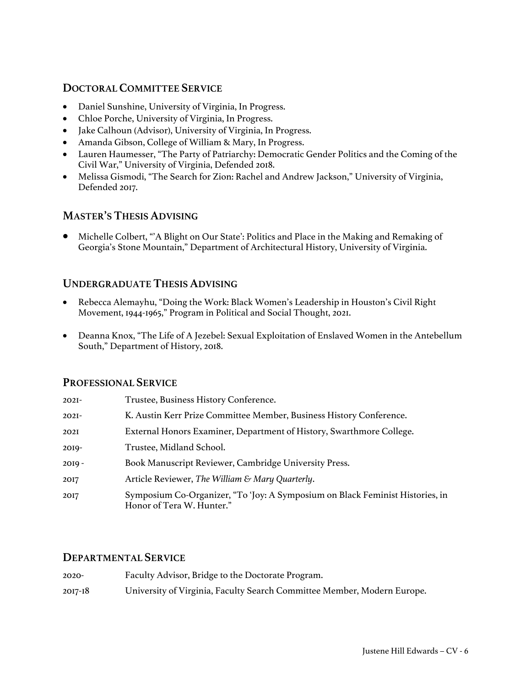# **DOCTORAL COMMITTEE SERVICE**

- Daniel Sunshine, University of Virginia, In Progress.
- Chloe Porche, University of Virginia, In Progress.
- Jake Calhoun (Advisor), University of Virginia, In Progress.
- Amanda Gibson, College of William & Mary, In Progress.
- Lauren Haumesser, "The Party of Patriarchy: Democratic Gender Politics and the Coming of the Civil War," University of Virginia, Defended 2018.
- Melissa Gismodi, "The Search for Zion: Rachel and Andrew Jackson," University of Virginia, Defended 2017.

# **MASTER'S THESIS ADVISING**

• Michelle Colbert, "'A Blight on Our State': Politics and Place in the Making and Remaking of Georgia's Stone Mountain," Department of Architectural History, University of Virginia.

# **UNDERGRADUATE THESIS ADVISING**

- Rebecca Alemayhu, "Doing the Work: Black Women's Leadership in Houston's Civil Right Movement, 1944-1965," Program in Political and Social Thought, 2021.
- Deanna Knox, "The Life of A Jezebel: Sexual Exploitation of Enslaved Women in the Antebellum South," Department of History, 2018.

# **PROFESSIONAL SERVICE**

| $202I -$ | Trustee, Business History Conference.                                                                      |
|----------|------------------------------------------------------------------------------------------------------------|
| $202I -$ | K. Austin Kerr Prize Committee Member, Business History Conference.                                        |
| 202I     | External Honors Examiner, Department of History, Swarthmore College.                                       |
| $20I9 -$ | Trustee, Midland School.                                                                                   |
| $20I9 -$ | Book Manuscript Reviewer, Cambridge University Press.                                                      |
| 2017     | Article Reviewer, The William & Mary Quarterly.                                                            |
| 2017     | Symposium Co-Organizer, "To 'Joy: A Symposium on Black Feminist Histories, in<br>Honor of Tera W. Hunter." |

# **DEPARTMENTAL SERVICE**

| $2020 -$    | Faculty Advisor, Bridge to the Doctorate Program.                       |
|-------------|-------------------------------------------------------------------------|
| $2017 - 18$ | University of Virginia, Faculty Search Committee Member, Modern Europe. |